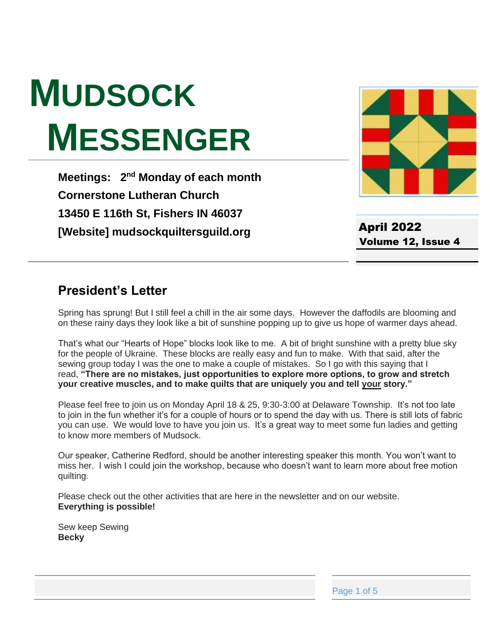# **MUDSOCK MESSENGER**

**Meetings: 2<sup>nd</sup> Monday of each month Cornerstone Lutheran Church 13450 E 116th St, Fishers IN 46037 [Website] mudsockquiltersguild.org**



April 2022 Volume 12, Issue 4

# **President's Letter**

Spring has sprung! But I still feel a chill in the air some days. However the daffodils are blooming and on these rainy days they look like a bit of sunshine popping up to give us hope of warmer days ahead.

That's what our "Hearts of Hope" blocks look like to me. A bit of bright sunshine with a pretty blue sky for the people of Ukraine. These blocks are really easy and fun to make. With that said, after the sewing group today I was the one to make a couple of mistakes. So I go with this saying that I read, **"There are no mistakes, just opportunities to explore more options, to grow and stretch your creative muscles, and to make quilts that are uniquely you and tell your story."**

Please feel free to join us on Monday April 18 & 25, 9:30-3:00 at Delaware Township. It's not too late to join in the fun whether it's for a couple of hours or to spend the day with us. There is still lots of fabric you can use. We would love to have you join us. It's a great way to meet some fun ladies and getting to know more members of Mudsock.

Our speaker, Catherine Redford, should be another interesting speaker this month. You won't want to miss her. I wish I could join the workshop, because who doesn't want to learn more about free motion quilting.

Please check out the other activities that are here in the newsletter and on our website. **Everything is possible!**

Sew keep Sewing **Becky**

Page 1 of 5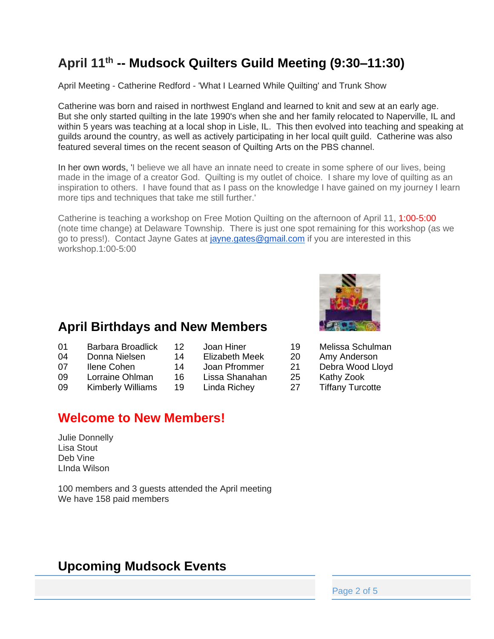# **April 11 th -- Mudsock Quilters Guild Meeting (9:30–11:30)**

April Meeting - Catherine Redford - 'What I Learned While Quilting' and Trunk Show

Catherine was born and raised in northwest England and learned to knit and sew at an early age. But she only started quilting in the late 1990's when she and her family relocated to Naperville, IL and within 5 years was teaching at a local shop in Lisle, IL. This then evolved into teaching and speaking at guilds around the country, as well as actively participating in her local quilt guild. Catherine was also featured several times on the recent season of Quilting Arts on the PBS channel.

In her own words, 'I believe we all have an innate need to create in some sphere of our lives, being made in the image of a creator God. Quilting is my outlet of choice. I share my love of quilting as an inspiration to others. I have found that as I pass on the knowledge I have gained on my journey I learn more tips and techniques that take me still further.'

Catherine is teaching a workshop on Free Motion Quilting on the afternoon of April 11, 1:00-5:00 (note time change) at Delaware Township. There is just one spot remaining for this workshop (as we go to press!). Contact Jayne Gates at [jayne.gates@gmail.com](mailto:jayne.gates@gmail.com) if you are interested in this workshop.1:00-5:00

# **April Birthdays and New Members**

- 01 Barbara Broadlick 12 Joan Hiner 19 Melissa Schulman
- 04 Donna Nielsen 14 Elizabeth Meek 20 Amy Anderson
- -
- 09 Lorraine Ohlman 16 Lissa Shanahan 25 Kathy Zook
	-
- 

# **Welcome to New Members!**

Julie Donnelly Lisa Stout Deb Vine LInda Wilson

100 members and 3 guests attended the April meeting We have 158 paid members

# **Upcoming Mudsock Events**



- 
- 
- 07 Ilene Cohen 14 Joan Pfrommer 21 Debra Wood Lloyd
	-
- 09 Kimberly Williams 19 Linda Richey 27 Tiffany Turcotte

Page 2 of 5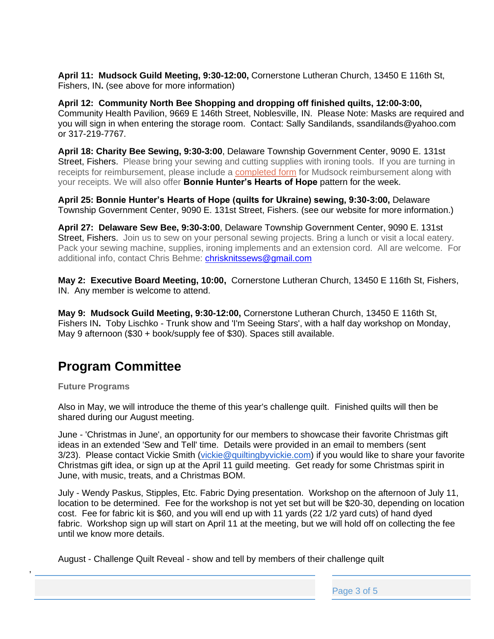**April 11: Mudsock Guild Meeting, 9:30-12:00,** Cornerstone Lutheran Church, 13450 E 116th St, Fishers, IN**.** (see above for more information)

**April 12: Community North Bee Shopping and dropping off finished quilts, 12:00-3:00,**  Community Health Pavilion, 9669 E 146th Street, Noblesville, IN. Please Note: Masks are required and you will sign in when entering the storage room. Contact: Sally Sandilands, ssandilands@yahoo.com or 317-219-7767.

**April 18: Charity Bee Sewing, 9:30-3:00**, Delaware Township Government Center, 9090 E. 131st Street, Fishers. Please bring your sewing and cutting supplies with ironing tools. If you are turning in receipts for reimbursement, please include a [completed form](https://mudsockquiltersguild.org/wp-content/uploads/2019/10/expense-reimb-form.pdf) for Mudsock reimbursement along with your receipts. We will also offer **Bonnie Hunter's Hearts of Hope** pattern for the week.

**April 25: Bonnie Hunter's Hearts of Hope (quilts for Ukraine) sewing, 9:30-3:00,** Delaware Township Government Center, 9090 E. 131st Street, Fishers. (see our website for more information.)

**April 27: Delaware Sew Bee, 9:30-3:00**, Delaware Township Government Center, 9090 E. 131st Street, Fishers. Join us to sew on your personal sewing projects. Bring a lunch or visit a local eatery. Pack your sewing machine, supplies, ironing implements and an extension cord. All are welcome. For additional info, contact Chris Behme: [chrisknitssews@gmail.com](mailto:chrisknitssews@gmail.com)

**May 2: Executive Board Meeting, 10:00,** Cornerstone Lutheran Church, 13450 E 116th St, Fishers, IN. Any member is welcome to attend.

**May 9: Mudsock Guild Meeting, 9:30-12:00,** Cornerstone Lutheran Church, 13450 E 116th St, Fishers IN**.** Toby Lischko - Trunk show and 'I'm Seeing Stars', with a half day workshop on Monday, May 9 afternoon (\$30 + book/supply fee of \$30). Spaces still available.

# **Program Committee**

**Future Programs**

,

Also in May, we will introduce the theme of this year's challenge quilt. Finished quilts will then be shared during our August meeting.

June - 'Christmas in June', an opportunity for our members to showcase their favorite Christmas gift ideas in an extended 'Sew and Tell' time. Details were provided in an email to members (sent 3/23). Please contact Vickie Smith [\(vickie@quiltingbyvickie.com\)](mailto:vickie@quiltingbyvickie.com) if you would like to share your favorite Christmas gift idea, or sign up at the April 11 guild meeting. Get ready for some Christmas spirit in June, with music, treats, and a Christmas BOM.

July - Wendy Paskus, Stipples, Etc. Fabric Dying presentation. Workshop on the afternoon of July 11, location to be determined. Fee for the workshop is not yet set but will be \$20-30, depending on location cost. Fee for fabric kit is \$60, and you will end up with 11 yards (22 1/2 yard cuts) of hand dyed fabric. Workshop sign up will start on April 11 at the meeting, but we will hold off on collecting the fee until we know more details.

August - Challenge Quilt Reveal - show and tell by members of their challenge quilt

Page 3 of 5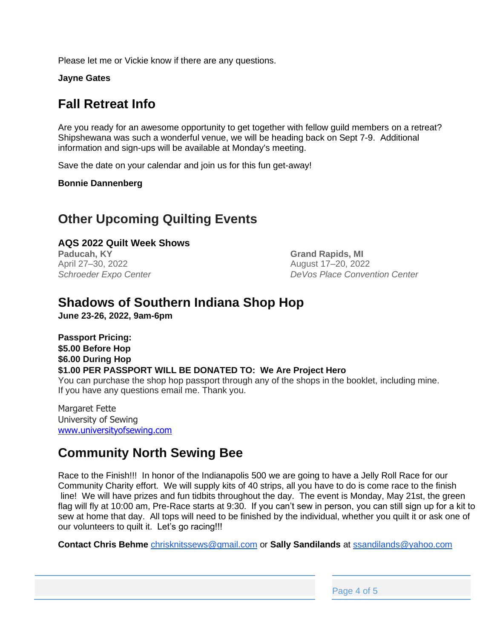Please let me or Vickie know if there are any questions.

**Jayne Gates**

# **Fall Retreat Info**

Are you ready for an awesome opportunity to get together with fellow guild members on a retreat? Shipshewana was such a wonderful venue, we will be heading back on Sept 7-9. Additional information and sign-ups will be available at Monday's meeting.

Save the date on your calendar and join us for this fun get-away!

**Bonnie Dannenberg**

#### **Other Upcoming Quilting Events**

#### **AQS 2022 Quilt Week Shows**

**Paducah, KY** April 27–30, 2022 *Schroeder Expo Center* **Grand Rapids, MI** August 17–20, 2022 *DeVos Place Convention Center*

#### **Shadows of Southern Indiana Shop Hop**

**June 23-26, 2022, 9am-6pm**

**Passport Pricing: \$5.00 Before Hop \$6.00 During Hop \$1.00 PER PASSPORT WILL BE DONATED TO: We Are Project Hero** You can purchase the shop hop passport through any of the shops in the booklet, including mine. If you have any questions email me. Thank you.

Margaret Fette University of Sewing [www.universityofsewing.com](http://www.universityofsewing.com/)

# **Community North Sewing Bee**

Race to the Finish!!! In honor of the Indianapolis 500 we are going to have a Jelly Roll Race for our Community Charity effort. We will supply kits of 40 strips, all you have to do is come race to the finish line! We will have prizes and fun tidbits throughout the day. The event is Monday, May 21st, the green flag will fly at 10:00 am, Pre-Race starts at 9:30. If you can't sew in person, you can still sign up for a kit to sew at home that day. All tops will need to be finished by the individual, whether you quilt it or ask one of our volunteers to quilt it. Let's go racing!!!

**Contact Chris Behme** [chrisknitssews@gmail.com](mailto:chrisknitssews@gmail.com) or **Sally Sandilands** at [ssandilands@yahoo.com](mailto:ssandilands@yahoo.com)

Page 4 of 5